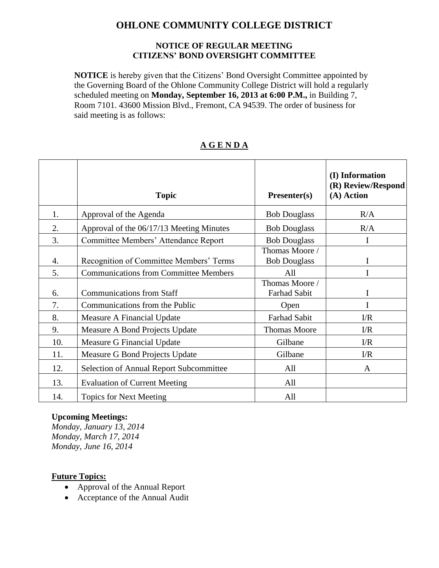# **OHLONE COMMUNITY COLLEGE DISTRICT**

#### **NOTICE OF REGULAR MEETING CITIZENS' BOND OVERSIGHT COMMITTEE**

**NOTICE** is hereby given that the Citizens' Bond Oversight Committee appointed by the Governing Board of the Ohlone Community College District will hold a regularly scheduled meeting on **Monday, September 16, 2013 at 6:00 P.M.,** in Building 7, Room 7101. 43600 Mission Blvd., Fremont, CA 94539. The order of business for said meeting is as follows:

|     | <b>Topic</b>                                   | Presenter(s)                          | (I) Information<br>(R) Review/Respond<br>(A) Action |
|-----|------------------------------------------------|---------------------------------------|-----------------------------------------------------|
| 1.  | Approval of the Agenda                         | <b>Bob Douglass</b>                   | R/A                                                 |
| 2.  | Approval of the 06/17/13 Meeting Minutes       | <b>Bob Douglass</b>                   | R/A                                                 |
| 3.  | Committee Members' Attendance Report           | <b>Bob Douglass</b>                   | I                                                   |
| 4.  | Recognition of Committee Members' Terms        | Thomas Moore /<br><b>Bob Douglass</b> | I                                                   |
| 5.  | <b>Communications from Committee Members</b>   | All                                   | I                                                   |
| 6.  | <b>Communications from Staff</b>               | Thomas Moore /<br><b>Farhad Sabit</b> | I                                                   |
| 7.  | Communications from the Public                 | Open                                  | I                                                   |
| 8.  | Measure A Financial Update                     | <b>Farhad Sabit</b>                   | $\Gamma/R$                                          |
| 9.  | Measure A Bond Projects Update                 | <b>Thomas Moore</b>                   | $\Gamma/R$                                          |
| 10. | Measure G Financial Update                     | Gilbane                               | $\Gamma/R$                                          |
| 11. | Measure G Bond Projects Update                 | Gilbane                               | $\Gamma/R$                                          |
| 12. | <b>Selection of Annual Report Subcommittee</b> | All                                   | A                                                   |
| 13. | <b>Evaluation of Current Meeting</b>           | All                                   |                                                     |
| 14. | <b>Topics for Next Meeting</b>                 | All                                   |                                                     |

### **A G E N D A**

### **Upcoming Meetings:**

*Monday, January 13, 2014 Monday, March 17, 2014 Monday, June 16, 2014* 

### **Future Topics:**

- Approval of the Annual Report
- Acceptance of the Annual Audit